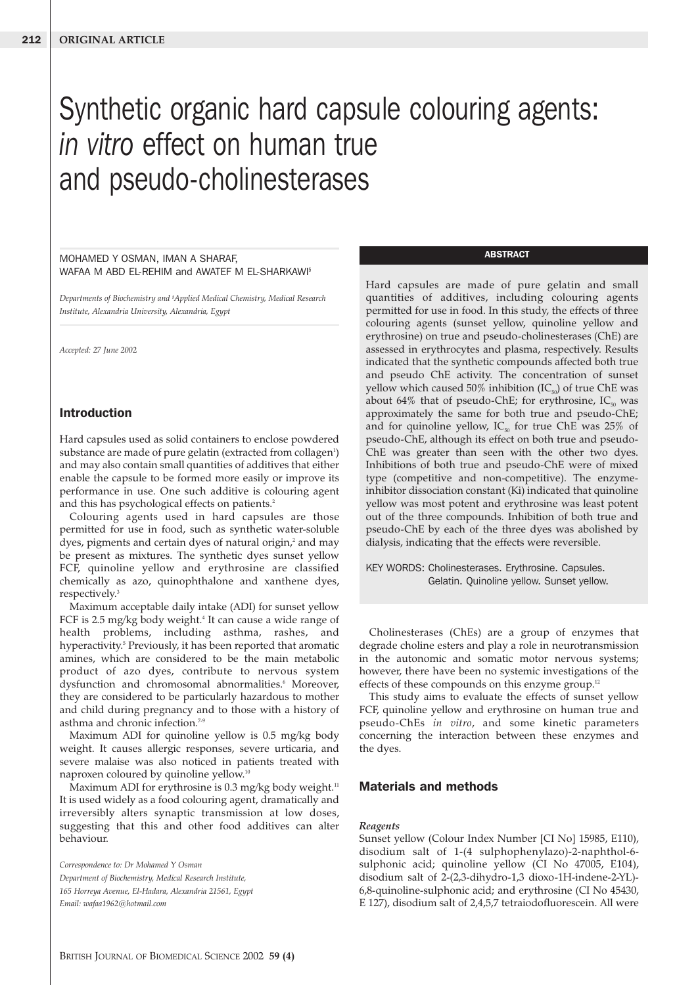# Synthetic organic hard capsule colouring agents: *in vitro* effect on human true and pseudo-cholinesterases

MOHAMED Y OSMAN, IMAN A SHARAF, WAFAA M ABD EL-REHIM and AWATEF M EL-SHARKAWI§

*Departments of Biochemistry and § Applied Medical Chemistry, Medical Research Institute, Alexandria University, Alexandria, Egypt*

*Accepted: 27 June 2002*

## Introduction

Hard capsules used as solid containers to enclose powdered substance are made of pure gelatin (extracted from collagen<sup>1</sup>) and may also contain small quantities of additives that either enable the capsule to be formed more easily or improve its performance in use. One such additive is colouring agent and this has psychological effects on patients.<sup>2</sup>

Colouring agents used in hard capsules are those permitted for use in food, such as synthetic water-soluble dyes, pigments and certain dyes of natural origin,<sup>2</sup> and may be present as mixtures. The synthetic dyes sunset yellow FCF, quinoline yellow and erythrosine are classified chemically as azo, quinophthalone and xanthene dyes, respectively.3

Maximum acceptable daily intake (ADI) for sunset yellow FCF is 2.5 mg/kg body weight.<sup>4</sup> It can cause a wide range of health problems, including asthma, rashes, and hyperactivity.<sup>5</sup> Previously, it has been reported that aromatic amines, which are considered to be the main metabolic product of azo dyes, contribute to nervous system dysfunction and chromosomal abnormalities.<sup>6</sup> Moreover, they are considered to be particularly hazardous to mother and child during pregnancy and to those with a history of asthma and chronic infection.<sup>7-9</sup>

Maximum ADI for quinoline yellow is 0.5 mg/kg body weight. It causes allergic responses, severe urticaria, and severe malaise was also noticed in patients treated with naproxen coloured by quinoline yellow.10

Maximum ADI for erythrosine is 0.3 mg/kg body weight.<sup>11</sup> It is used widely as a food colouring agent, dramatically and irreversibly alters synaptic transmission at low doses, suggesting that this and other food additives can alter behaviour.

*Correspondence to: Dr Mohamed Y Osman Department of Biochemistry, Medical Research Institute, 165 Horreya Avenue, El-Hadara, Alexandria 21561, Egypt Email: wafaa1962@hotmail.com*

#### **ABSTRACT**

Hard capsules are made of pure gelatin and small quantities of additives, including colouring agents permitted for use in food. In this study, the effects of three colouring agents (sunset yellow, quinoline yellow and erythrosine) on true and pseudo-cholinesterases (ChE) are assessed in erythrocytes and plasma, respectively. Results indicated that the synthetic compounds affected both true and pseudo ChE activity. The concentration of sunset yellow which caused 50% inhibition  $(IC_{50})$  of true ChE was about 64% that of pseudo-ChE; for erythrosine,  $IC_{50}$  was approximately the same for both true and pseudo-ChE; and for quinoline yellow,  $IC_{50}$  for true ChE was 25% of pseudo-ChE, although its effect on both true and pseudo-ChE was greater than seen with the other two dyes. Inhibitions of both true and pseudo-ChE were of mixed type (competitive and non-competitive). The enzymeinhibitor dissociation constant (Ki) indicated that quinoline yellow was most potent and erythrosine was least potent out of the three compounds. Inhibition of both true and pseudo-ChE by each of the three dyes was abolished by dialysis, indicating that the effects were reversible.

KEY WORDS: Cholinesterases. Erythrosine. Capsules. Gelatin. Quinoline yellow. Sunset yellow.

Cholinesterases (ChEs) are a group of enzymes that degrade choline esters and play a role in neurotransmission in the autonomic and somatic motor nervous systems; however, there have been no systemic investigations of the effects of these compounds on this enzyme group.<sup>12</sup>

This study aims to evaluate the effects of sunset yellow FCF, quinoline yellow and erythrosine on human true and pseudo-ChEs *in vitro*, and some kinetic parameters concerning the interaction between these enzymes and the dyes.

## Materials and methods

#### *Reagents*

Sunset yellow (Colour Index Number [CI No] 15985, E110), disodium salt of 1-(4 sulphophenylazo)-2-naphthol-6 sulphonic acid; quinoline yellow (CI No 47005, E104), disodium salt of 2-(2,3-dihydro-1,3 dioxo-1H-indene-2-YL)- 6,8-quinoline-sulphonic acid; and erythrosine (CI No 45430, E 127), disodium salt of 2,4,5,7 tetraiodofluorescein. All were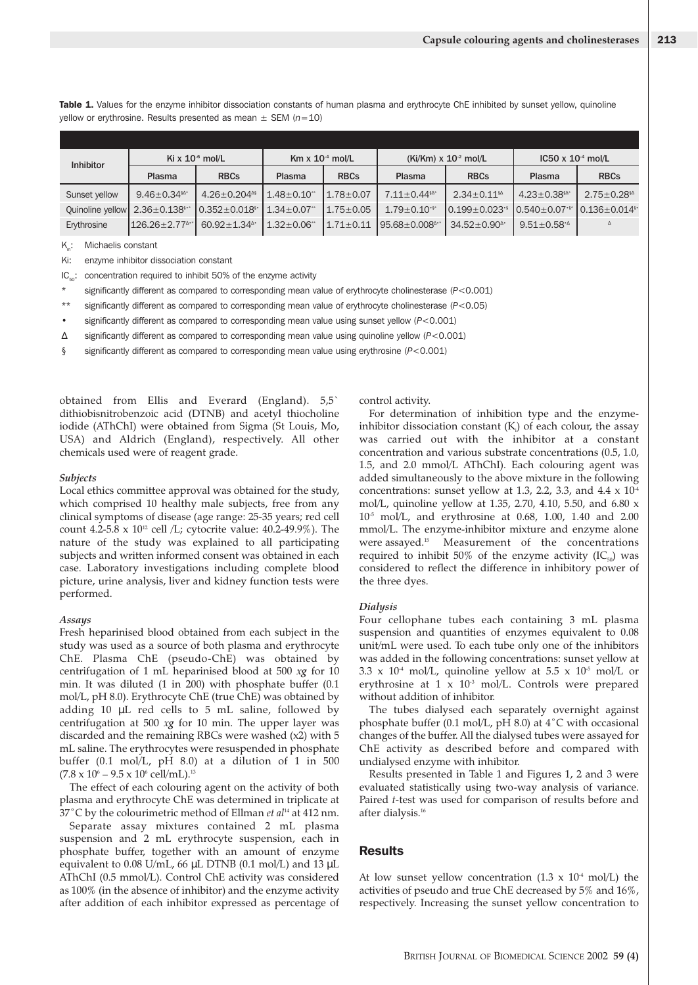Table 1. Values for the enzyme inhibitor dissociation constants of human plasma and erythrocyte ChE inhibited by sunset yellow, quinoline yellow or erythrosine. Results presented as mean ± SEM (*n*=10)

| <b>Inhibitor</b>                     | Ki x $106$ mol/L               |                                 | Km $\times$ 10 <sup>-4</sup> mol/L |                 | $(Ki/Km) \times 10^{-2}$ mol/L  |                                | $IC50 \times 10^{-4}$ mol/L    |                                 |
|--------------------------------------|--------------------------------|---------------------------------|------------------------------------|-----------------|---------------------------------|--------------------------------|--------------------------------|---------------------------------|
|                                      | Plasma                         | <b>RBCs</b>                     | Plasma                             | <b>RBCs</b>     | Plasma                          | <b>RBCs</b>                    | Plasma                         | <b>RBCs</b>                     |
| Sunset yellow                        | $9.46 \pm 0.34$ \$4*           | $4.26 \pm 0.204$ <sup>4\$</sup> | $1.48 \pm 0.10$ **                 | $1.78 \pm 0.07$ | $7.11 \pm 0.44$ \$4*            | $2.34 \pm 0.11$ \$A            | $4.23 \pm 0.38$ \$4*           | $2.75 \pm 0.28$ §               |
| Quinoline yellow $2.36 \pm 0.138$ ** |                                | $0.352 \pm 0.018$ <sup>§</sup>  | $1.34 \pm 0.07$                    | $1.75 \pm 0.05$ | $1.79 \pm 0.10$ <sup>*</sup>    | $0.199 \pm 0.023$ <sup>.</sup> | $10.540 \pm 0.07$ <sup>*</sup> | $0.136 \pm 0.014$ <sup>§•</sup> |
| Erythrosine                          | $126.26 \pm 2.77$ <sup>1</sup> | $60.92 \pm 1.34$ <sup>1</sup>   | $1.32 \pm 0.06$ **                 | $1.71 \pm 0.11$ | $95.68 \pm 0.008$ <sup>4*</sup> | $34.52 \pm 0.90$ <sup>*</sup>  | $9.51 \pm 0.58$ <sup>1</sup>   |                                 |

K<sub>m</sub>: Michaelis constant

Ki: enzyme inhibitor dissociation constant

 $IC<sub>50</sub>$ : concentration required to inhibit 50% of the enzyme activity

\* significantly different as compared to corresponding mean value of erythrocyte cholinesterase (*P*<0.001)

\*\* significantly different as compared to corresponding mean value of erythrocyte cholinesterase (*P*<0.05)

• significantly different as compared to corresponding mean value using sunset yellow (*P*<0.001)

∆ significantly different as compared to corresponding mean value using quinoline yellow (*P*<0.001)

§ significantly different as compared to corresponding mean value using erythrosine (*P*<0.001)

obtained from Ellis and Everard (England). 5,5` dithiobisnitrobenzoic acid (DTNB) and acetyl thiocholine iodide (AThChI) were obtained from Sigma (St Louis, Mo, USA) and Aldrich (England), respectively. All other chemicals used were of reagent grade.

#### *Subjects*

Local ethics committee approval was obtained for the study, which comprised 10 healthy male subjects, free from any clinical symptoms of disease (age range: 25-35 years; red cell count 4.2-5.8 x  $10^{12}$  cell /L; cytocrite value: 40.2-49.9%). The nature of the study was explained to all participating subjects and written informed consent was obtained in each case. Laboratory investigations including complete blood picture, urine analysis, liver and kidney function tests were performed.

#### *Assays*

Fresh heparinised blood obtained from each subject in the study was used as a source of both plasma and erythrocyte ChE. Plasma ChE (pseudo-ChE) was obtained by centrifugation of 1 mL heparinised blood at 500 *xg* for 10 min. It was diluted (1 in 200) with phosphate buffer (0.1 mol/L, pH 8.0). Erythrocyte ChE (true ChE) was obtained by adding 10 µL red cells to 5 mL saline, followed by centrifugation at 500 *xg* for 10 min. The upper layer was discarded and the remaining RBCs were washed (x2) with 5 mL saline. The erythrocytes were resuspended in phosphate buffer (0.1 mol/L, pH 8.0) at a dilution of 1 in 500  $(7.8 \times 10^{6} - 9.5 \times 10^{6} \text{ cell/mL})$ .<sup>13</sup>

The effect of each colouring agent on the activity of both plasma and erythrocyte ChE was determined in triplicate at 37˚C by the colourimetric method of Ellman *et al*<sup>14</sup> at 412 nm.

Separate assay mixtures contained 2 mL plasma suspension and 2 mL erythrocyte suspension, each in phosphate buffer, together with an amount of enzyme equivalent to 0.08 U/mL, 66 µL DTNB (0.1 mol/L) and 13 µL AThChI (0.5 mmol/L). Control ChE activity was considered as 100% (in the absence of inhibitor) and the enzyme activity after addition of each inhibitor expressed as percentage of control activity.

For determination of inhibition type and the enzymeinhibitor dissociation constant  $(K_i)$  of each colour, the assay was carried out with the inhibitor at a constant concentration and various substrate concentrations (0.5, 1.0, 1.5, and 2.0 mmol/L AThChI). Each colouring agent was added simultaneously to the above mixture in the following concentrations: sunset yellow at 1.3, 2.2, 3.3, and  $4.4 \times 10^4$ mol/L, quinoline yellow at 1.35, 2.70, 4.10, 5.50, and 6.80 x  $10^{-5}$  mol/L, and erythrosine at 0.68, 1.00, 1.40 and 2.00 mmol/L. The enzyme-inhibitor mixture and enzyme alone were assayed.15 Measurement of the concentrations required to inhibit 50% of the enzyme activity  $(IC_{50})$  was considered to reflect the difference in inhibitory power of the three dyes.

#### *Dialysis*

Four cellophane tubes each containing 3 mL plasma suspension and quantities of enzymes equivalent to 0.08 unit/mL were used. To each tube only one of the inhibitors was added in the following concentrations: sunset yellow at 3.3 x 10<sup>-4</sup> mol/L, quinoline yellow at 5.5 x 10<sup>-5</sup> mol/L or erythrosine at  $1 \times 10^{3}$  mol/L. Controls were prepared without addition of inhibitor.

The tubes dialysed each separately overnight against phosphate buffer (0.1 mol/L, pH 8.0) at 4˚C with occasional changes of the buffer. All the dialysed tubes were assayed for ChE activity as described before and compared with undialysed enzyme with inhibitor.

Results presented in Table 1 and Figures 1, 2 and 3 were evaluated statistically using two-way analysis of variance. Paired *t*-test was used for comparison of results before and after dialysis.16

### **Results**

At low sunset yellow concentration (1.3 x  $10^4$  mol/L) the activities of pseudo and true ChE decreased by 5% and 16%, respectively. Increasing the sunset yellow concentration to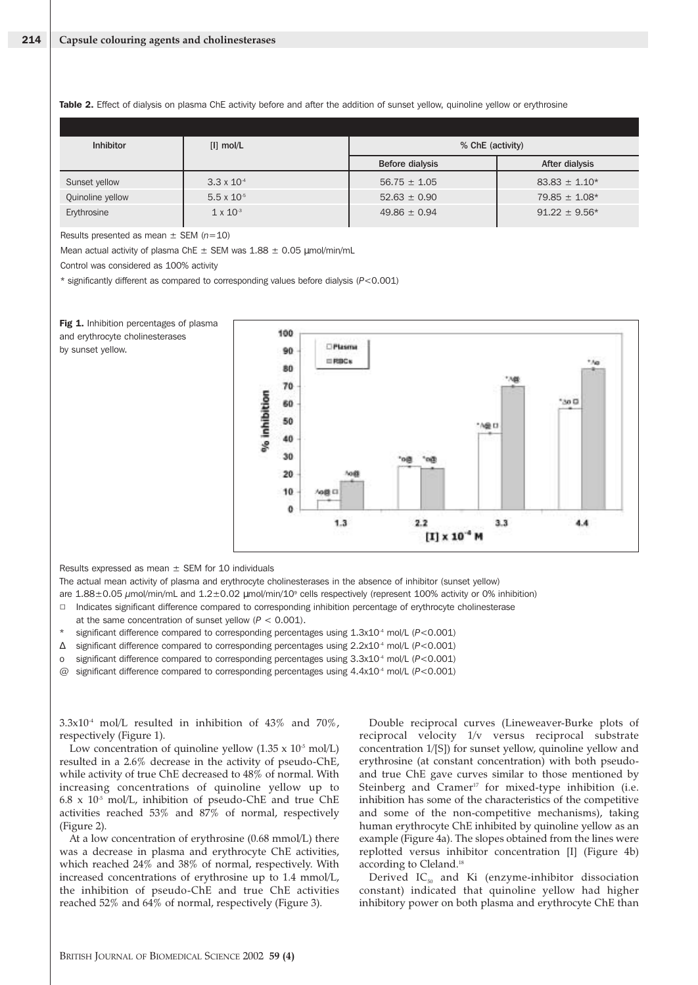| <b>Inhibitor</b> | $[1]$ mol/L          | % ChE (activity) |                   |  |
|------------------|----------------------|------------------|-------------------|--|
|                  |                      | Before dialysis  | After dialysis    |  |
| Sunset yellow    | $3.3 \times 10^{-4}$ | $56.75 \pm 1.05$ | $83.83 \pm 1.10*$ |  |
| Quinoline yellow | $5.5 \times 10^{-5}$ | $52.63 \pm 0.90$ | $79.85 \pm 1.08*$ |  |
| Erythrosine      | $1 \times 10^{-3}$   | $49.86 \pm 0.94$ | $91.22 \pm 9.56*$ |  |

Table 2. Effect of dialysis on plasma ChE activity before and after the addition of sunset yellow, quinoline yellow or erythrosine

Results presented as mean ± SEM (*n*=10)

Mean actual activity of plasma ChE  $\pm$  SEM was  $1.88 \pm 0.05$   $\mu$ mol/min/mL

Control was considered as 100% activity

\* significantly different as compared to corresponding values before dialysis (*P*<0.001)



Results expressed as mean  $\pm$  SEM for 10 individuals

The actual mean activity of plasma and erythrocyte cholinesterases in the absence of inhibitor (sunset yellow)

are 1.88±0.05  $\mu$ mol/min/mL and 1.2±0.02  $\mu$ mol/min/10<sup>9</sup> cells respectively (represent 100% activity or 0% inhibition)

 $\Box$ Indicates significant difference compared to corresponding inhibition percentage of erythrocyte cholinesterase

- at the same concentration of sunset yellow (*P* < 0.001).
- significant difference compared to corresponding percentages using 1.3x10<sup>-4</sup> mol/L ( $P$ <0.001)
- ∆ significant difference compared to corresponding percentages using 2.2x10-4 mol/L (*P*<0.001)
- significant difference compared to corresponding percentages using 3.3x10<sup>-4</sup> mol/L (P<0.001)
- @ significant difference compared to corresponding percentages using 4.4x10-4 mol/L (*P*<0.001)

 $3.3x10^4$  mol/L resulted in inhibition of  $43\%$  and  $70\%$ , respectively (Figure 1).

Low concentration of quinoline yellow  $(1.35 \times 10^{5} \text{ mol/L})$ resulted in a 2.6% decrease in the activity of pseudo-ChE, while activity of true ChE decreased to 48% of normal. With increasing concentrations of quinoline yellow up to  $6.8 \times 10^{5}$  mol/L, inhibition of pseudo-ChE and true ChE activities reached 53% and 87% of normal, respectively (Figure 2).

At a low concentration of erythrosine (0.68 mmol/L) there was a decrease in plasma and erythrocyte ChE activities, which reached 24% and 38% of normal, respectively. With increased concentrations of erythrosine up to 1.4 mmol/L, the inhibition of pseudo-ChE and true ChE activities reached 52% and 64% of normal, respectively (Figure 3).

Double reciprocal curves (Lineweaver-Burke plots of reciprocal velocity 1/v versus reciprocal substrate concentration 1/[S]) for sunset yellow, quinoline yellow and erythrosine (at constant concentration) with both pseudoand true ChE gave curves similar to those mentioned by Steinberg and Cramer<sup>17</sup> for mixed-type inhibition (i.e. inhibition has some of the characteristics of the competitive and some of the non-competitive mechanisms), taking human erythrocyte ChE inhibited by quinoline yellow as an example (Figure 4a). The slopes obtained from the lines were replotted versus inhibitor concentration [I] (Figure 4b) according to Cleland.<sup>18</sup>

Derived  $IC_{50}$  and Ki (enzyme-inhibitor dissociation constant) indicated that quinoline yellow had higher inhibitory power on both plasma and erythrocyte ChE than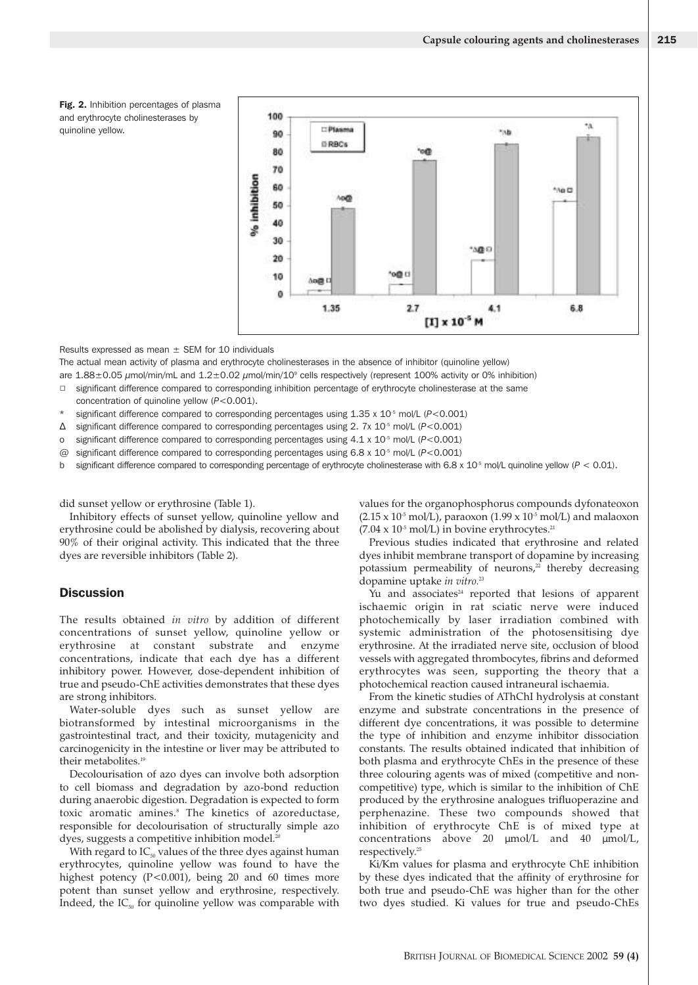

Results expressed as mean  $\pm$  SEM for 10 individuals

The actual mean activity of plasma and erythrocyte cholinesterases in the absence of inhibitor (quinoline yellow)

are 1.88±0.05 µmol/min/mL and 1.2±0.02 µmol/min/10<sup>9</sup> cells respectively (represent 100% activity or 0% inhibition)

- $\Box$ significant difference compared to corresponding inhibition percentage of erythrocyte cholinesterase at the same
- concentration of quinoline yellow (*P*<0.001).
- significant difference compared to corresponding percentages using 1.35 x 10<sup>-5</sup> mol/L (*P*<0.001)
- ∆ significant difference compared to corresponding percentages using 2. 7x 10-5 mol/L (*P*<0.001)
- o significant difference compared to corresponding percentages using 4.1 x 10-5 mol/L (*P*<0.001)
- @ significant difference compared to corresponding percentages using 6.8 x 10-5 mol/L (*P*<0.001)
- b significant difference compared to corresponding percentage of erythrocyte cholinesterase with 6.8 x 10<sup>-5</sup> mol/L quinoline yellow (*P* < 0.01).

did sunset yellow or erythrosine (Table 1).

Inhibitory effects of sunset yellow, quinoline yellow and erythrosine could be abolished by dialysis, recovering about 90% of their original activity. This indicated that the three dyes are reversible inhibitors (Table 2).

#### **Discussion**

The results obtained *in vitro* by addition of different concentrations of sunset yellow, quinoline yellow or erythrosine at constant substrate and enzyme concentrations, indicate that each dye has a different inhibitory power. However, dose-dependent inhibition of true and pseudo-ChE activities demonstrates that these dyes are strong inhibitors.

Water-soluble dyes such as sunset yellow are biotransformed by intestinal microorganisms in the gastrointestinal tract, and their toxicity, mutagenicity and carcinogenicity in the intestine or liver may be attributed to their metabolites.<sup>19</sup>

Decolourisation of azo dyes can involve both adsorption to cell biomass and degradation by azo-bond reduction during anaerobic digestion. Degradation is expected to form toxic aromatic amines.<sup>8</sup> The kinetics of azoreductase, responsible for decolourisation of structurally simple azo dyes, suggests a competitive inhibition model.<sup>20</sup>

With regard to  $IC_{50}$  values of the three dyes against human erythrocytes, quinoline yellow was found to have the highest potency (P<0.001), being 20 and 60 times more potent than sunset yellow and erythrosine, respectively. Indeed, the  $IC_{50}$  for quinoline yellow was comparable with values for the organophosphorus compounds dyfonateoxon  $(2.15 \times 10^5 \text{ mol/L})$ , paraoxon  $(1.99 \times 10^5 \text{ mol/L})$  and malaoxon  $(7.04 \times 10^{5} \text{ mol/L})$  in bovine erythrocytes.<sup>21</sup>

Previous studies indicated that erythrosine and related dyes inhibit membrane transport of dopamine by increasing potassium permeability of neurons, $2^2$  thereby decreasing dopamine uptake *in vitro*. 23

Yu and associates $24$  reported that lesions of apparent ischaemic origin in rat sciatic nerve were induced photochemically by laser irradiation combined with systemic administration of the photosensitising dye erythrosine. At the irradiated nerve site, occlusion of blood vessels with aggregated thrombocytes, fibrins and deformed erythrocytes was seen, supporting the theory that a photochemical reaction caused intraneural ischaemia.

From the kinetic studies of AThChI hydrolysis at constant enzyme and substrate concentrations in the presence of different dye concentrations, it was possible to determine the type of inhibition and enzyme inhibitor dissociation constants. The results obtained indicated that inhibition of both plasma and erythrocyte ChEs in the presence of these three colouring agents was of mixed (competitive and noncompetitive) type, which is similar to the inhibition of ChE produced by the erythrosine analogues trifluoperazine and perphenazine. These two compounds showed that inhibition of erythrocyte ChE is of mixed type at concentrations above 20 µmol/L and 40 µmol/L, respectively.25

Ki/Km values for plasma and erythrocyte ChE inhibition by these dyes indicated that the affinity of erythrosine for both true and pseudo-ChE was higher than for the other two dyes studied. Ki values for true and pseudo-ChEs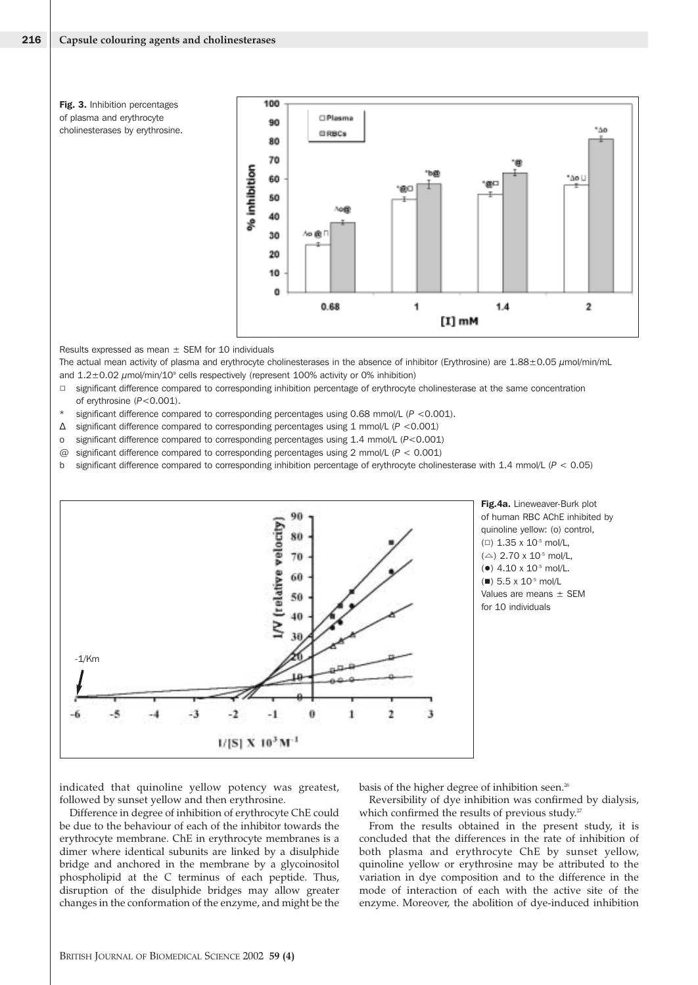Fig. 3. Inhibition percentages of plasma and erythrocyte cholinesterases by erythrosine.



Results expressed as mean  $\pm$  SEM for 10 individuals

The actual mean activity of plasma and erythrocyte cholinesterases in the absence of inhibitor (Erythrosine) are  $1.88\pm0.05$   $\mu$ mol/min/mL and 1.2±0.02  $\mu$ mol/min/10<sup>9</sup> cells respectively (represent 100% activity or 0% inhibition)

- $\Box$  significant difference compared to corresponding inhibition percentage of erythrocyte cholinesterase at the same concentration of erythrosine (*P*<0.001).
- significant difference compared to corresponding percentages using 0.68 mmol/L ( $P$  <0.001).
- ∆ significant difference compared to corresponding percentages using 1 mmol/L (*P* <0.001)
- o significant difference compared to corresponding percentages using 1.4 mmol/L (*P*<0.001)
- @ significant difference compared to corresponding percentages using 2 mmol/L (*P* < 0.001)
- b significant difference compared to corresponding inhibition percentage of erythrocyte cholinesterase with 1.4 mmol/L (*P* < 0.05)



Fig.4a. Lineweaver-Burk plot of human RBC AChE inhibited by quinoline yellow: (o) control,  $(D)$  1.35 x 10<sup>-5</sup> mol/L,  $(\triangle)$  2.70 x 10<sup>-5</sup> mol/L. ( $\bullet$ ) 4.10 x 10<sup>-5</sup> mol/L.  $($  $\blacksquare$ ) 5.5 x 10<sup>-5</sup> mol/L Values are means ± SEM for 10 individuals

indicated that quinoline yellow potency was greatest, followed by sunset yellow and then erythrosine.

Difference in degree of inhibition of erythrocyte ChE could be due to the behaviour of each of the inhibitor towards the erythrocyte membrane. ChE in erythrocyte membranes is a dimer where identical subunits are linked by a disulphide bridge and anchored in the membrane by a glycoinositol phospholipid at the C terminus of each peptide. Thus, disruption of the disulphide bridges may allow greater changes in the conformation of the enzyme, and might be the

basis of the higher degree of inhibition seen.<sup>26</sup>

Reversibility of dye inhibition was confirmed by dialysis, which confirmed the results of previous study. $27$ 

From the results obtained in the present study, it is concluded that the differences in the rate of inhibition of both plasma and erythrocyte ChE by sunset yellow, quinoline yellow or erythrosine may be attributed to the variation in dye composition and to the difference in the mode of interaction of each with the active site of the enzyme. Moreover, the abolition of dye-induced inhibition